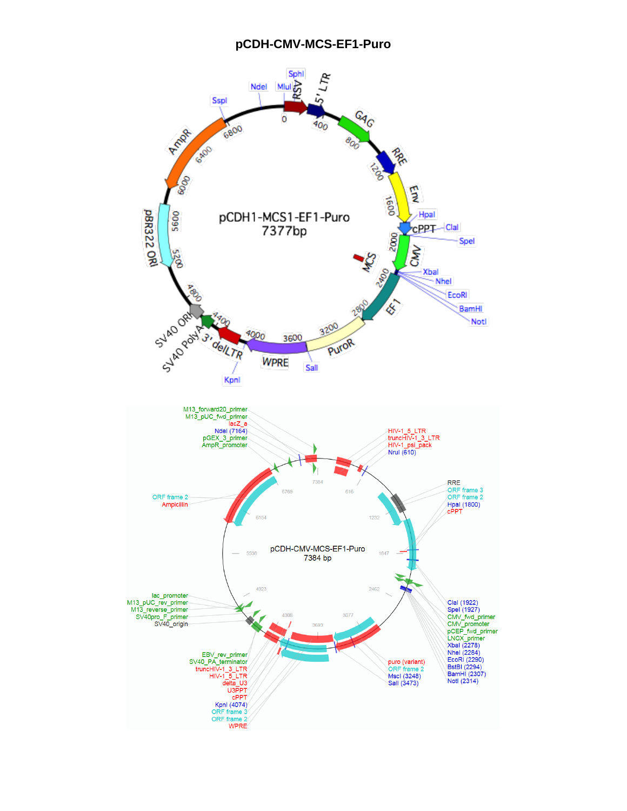## **pCDH-CMV-MCS-EF1-Puro**

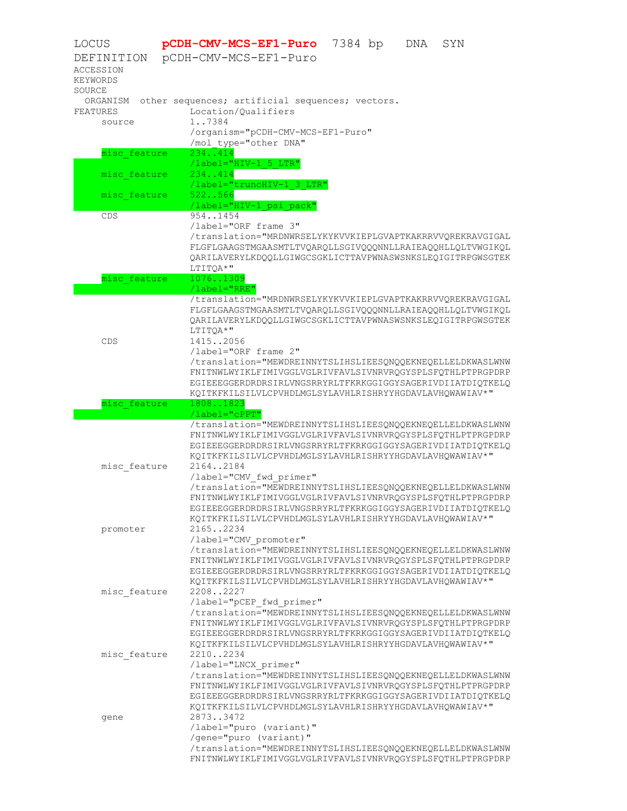| LOCUS                                      | pCDH-CMV-MCS-EF1-Puro 7384 bp<br>SYN<br>DNA                                                                                                                                            |
|--------------------------------------------|----------------------------------------------------------------------------------------------------------------------------------------------------------------------------------------|
| DEFINITION<br><b>ACCESSION</b><br>KEYWORDS | pCDH-CMV-MCS-EF1-Puro                                                                                                                                                                  |
| SOURCE                                     |                                                                                                                                                                                        |
| ORGANISM                                   | other sequences; artificial sequences; vectors.                                                                                                                                        |
| FEATURES                                   | Location/Oualifiers                                                                                                                                                                    |
| source                                     | 17384<br>/organism="pCDH-CMV-MCS-EF1-Puro"                                                                                                                                             |
|                                            | /mol type="other DNA"                                                                                                                                                                  |
| misc feature                               | 234414                                                                                                                                                                                 |
|                                            | /label="HIV-1 5 LTR"                                                                                                                                                                   |
| misc feature                               | 234414                                                                                                                                                                                 |
|                                            | /label="truncHIV-1 3 LTR"                                                                                                                                                              |
| misc feature                               | 522566                                                                                                                                                                                 |
| CDS                                        | /label="HIV-1 psi pack"<br>9541454                                                                                                                                                     |
|                                            | /label="ORF frame 3"                                                                                                                                                                   |
|                                            | /translation="MRDNWRSELYKYKVVKIEPLGVAPTKAKRRVVQREKRAVGIGAL                                                                                                                             |
|                                            | FLGFLGAAGSTMGAASMTLTVOAROLLSGIVOOONNLLRAIEAOOHLLOLTVWGIKOL                                                                                                                             |
|                                            | QARILAVERYLKDQQLLGIWGCSGKLICTTAVPWNASWSNKSLEQIGITRPGWSGTEK                                                                                                                             |
|                                            | LTITQA*"                                                                                                                                                                               |
| misc feature                               | 10761309                                                                                                                                                                               |
|                                            | /label="RRE"                                                                                                                                                                           |
|                                            | /translation="MRDNWRSELYKYKVVKIEPLGVAPTKAKRRVVQREKRAVGIGAL<br>FLGFLGAAGSTMGAASMTLTVQARQLLSGIVQQQNNLLRAIEAQQHLLQLTVWGIKQL<br>QARILAVERYLKDQQLLGIWGCSGKLICTTAVPWNASWSNKSLEQIGITRPGWSGTEK |
|                                            | LTITOA*"                                                                                                                                                                               |
| CDS                                        | 14152056                                                                                                                                                                               |
|                                            | /label="ORF frame 2"                                                                                                                                                                   |
|                                            | /translation="MEWDREINNYTSLIHSLIEESQNQQEKNEQELLELDKWASLWNW<br>FNITNWLWYIKLFIMIVGGLVGLRIVFAVLSIVNRVRQGYSPLSFQTHLPTPRGPDRP                                                               |
|                                            | EGIEEEGGERDRDRSIRLVNGSRRYRLTFKRKGGIGGYSAGERIVDIIATDIQTKELQ                                                                                                                             |
|                                            | KQITKFKILSILVLCPVHDLMGLSYLAVHLRISHRYYHGDAVLAVHQWAWIAV*"                                                                                                                                |
| misc feature                               | 18081823                                                                                                                                                                               |
|                                            | /label="cPPT"                                                                                                                                                                          |
|                                            | /translation="MEWDREINNYTSLIHSLIEESQNQQEKNEQELLELDKWASLWNW                                                                                                                             |
|                                            | FNITNWLWYIKLFIMIVGGLVGLRIVFAVLSIVNRVRQGYSPLSFQTHLPTPRGPDRP                                                                                                                             |
|                                            | EGIEEEGGERDRDRSIRLVNGSRRYRLTFKRKGGIGGYSAGERIVDIIATDIQTKELQ<br>KQITKFKILSILVLCPVHDLMGLSYLAVHLRISHRYYHGDAVLAVHQWAWIAV*"                                                                  |
| misc feature                               | 21642184                                                                                                                                                                               |
|                                            | /label="CMV fwd primer"                                                                                                                                                                |
|                                            | /translation="MEWDREINNYTSLIHSLIEESQNQQEKNEQELLELDKWASLWNW                                                                                                                             |
|                                            | FNITNWLWYIKLFIMIVGGLVGLRIVFAVLSIVNRVRQGYSPLSFQTHLPTPRGPDRP                                                                                                                             |
|                                            | EGIEEEGGERDRDRSIRLVNGSRRYRLTFKRKGGIGGYSAGERIVDIIATDIOTKELO                                                                                                                             |
|                                            | KQITKFKILSILVLCPVHDLMGLSYLAVHLRISHRYYHGDAVLAVHQWAWIAV*"                                                                                                                                |
| promoter                                   | 21652234<br>/label="CMV promoter"                                                                                                                                                      |
|                                            | /translation="MEWDREINNYTSLIHSLIEESONOOEKNEOELLELDKWASLWNW                                                                                                                             |
|                                            | FNITNWLWYIKLFIMIVGGLVGLRIVFAVLSIVNRVRQGYSPLSFQTHLPTPRGPDRP                                                                                                                             |
|                                            | EGIEEEGGERDRDRSIRLVNGSRRYRLTFKRKGGIGGYSAGERIVDIIATDIOTKELO                                                                                                                             |
|                                            | KQITKFKILSILVLCPVHDLMGLSYLAVHLRISHRYYHGDAVLAVHQWAWIAV*"                                                                                                                                |
| misc feature                               | 22082227                                                                                                                                                                               |
|                                            | /label="pCEP fwd primer"                                                                                                                                                               |
|                                            | /translation="MEWDREINNYTSLIHSLIEESQNQQEKNEQELLELDKWASLWNW<br>FNITNWLWYIKLFIMIVGGLVGLRIVFAVLSIVNRVRQGYSPLSFQTHLPTPRGPDRP                                                               |
|                                            | EGIEEEGGERDRDRSIRLVNGSRRYRLTFKRKGGIGGYSAGERIVDIIATDIQTKELQ                                                                                                                             |
|                                            | KQITKFKILSILVLCPVHDLMGLSYLAVHLRISHRYYHGDAVLAVHQWAWIAV*"                                                                                                                                |
| misc feature                               | 22102234                                                                                                                                                                               |
|                                            | /label="LNCX primer"                                                                                                                                                                   |
|                                            | /translation="MEWDREINNYTSLIHSLIEESQNQQEKNEQELLELDKWASLWNW                                                                                                                             |
|                                            | FNITNWLWYIKLFIMIVGGLVGLRIVFAVLSIVNRVRQGYSPLSFQTHLPTPRGPDRP                                                                                                                             |
|                                            | EGIEEEGGERDRDRSIRLVNGSRRYRLTFKRKGGIGGYSAGERIVDIIATDIQTKELQ<br>KQITKFKILSILVLCPVHDLMGLSYLAVHLRISHRYYHGDAVLAVHQWAWIAV*"                                                                  |
| gene                                       | 28733472                                                                                                                                                                               |
|                                            | /label="puro (variant)"                                                                                                                                                                |
|                                            | /gene="puro (variant)"                                                                                                                                                                 |
|                                            | /translation="MEWDREINNYTSLIHSLIEESQNQQEKNEQELLELDKWASLWNW                                                                                                                             |
|                                            | FNITNWLWYIKLFIMIVGGLVGLRIVFAVLSIVNRVRQGYSPLSFQTHLPTPRGPDRP                                                                                                                             |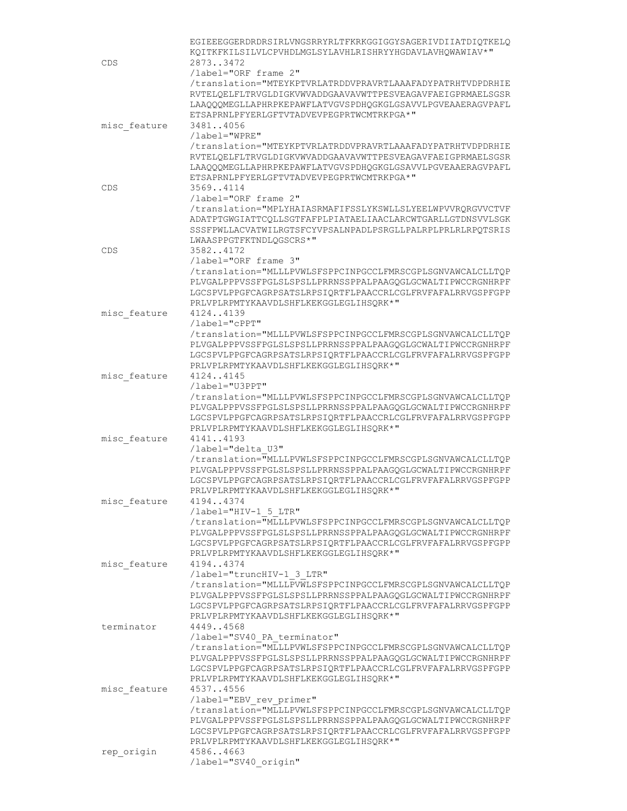|              | EGIEEEGGERDRDRSIRLVNGSRRYRLTFKRKGGIGGYSAGERIVDIIATDIOTKELO                                              |
|--------------|---------------------------------------------------------------------------------------------------------|
|              | KOITKFKILSILVLCPVHDLMGLSYLAVHLRISHRYYHGDAVLAVHOWAWIAV*"                                                 |
| CDS          | 28733472                                                                                                |
|              | /label="ORF frame 2"                                                                                    |
|              | /translation="MTEYKPTVRLATRDDVPRAVRTLAAAFADYPATRHTVDPDRHIE                                              |
|              | RVTELQELFLTRVGLDIGKVWVADDGAAVAVWTTPESVEAGAVFAEIGPRMAELSGSR                                              |
|              | LAAQQQMEGLLAPHRPKEPAWFLATVGVSPDHQGKGLGSAVVLPGVEAAERAGVPAFL                                              |
|              | ETSAPRNLPFYERLGFTVTADVEVPEGPRTWCMTRKPGA*"                                                               |
| misc feature | 34814056                                                                                                |
|              | /label="WPRE"                                                                                           |
|              | /translation="MTEYKPTVRLATRDDVPRAVRTLAAAFADYPATRHTVDPDRHIE                                              |
|              | RVTELOELFLTRVGLDIGKVWVADDGAAVAVWTTPESVEAGAVFAEIGPRMAELSGSR                                              |
|              | LAAOOOMEGLLAPHRPKEPAWFLATVGVSPDHOGKGLGSAVVLPGVEAAERAGVPAFL<br>ETSAPRNLPFYERLGFTVTADVEVPEGPRTWCMTRKPGA*" |
|              | 35694114                                                                                                |
| CDS          | /label="ORF frame 2"                                                                                    |
|              | /translation="MPLYHAIASRMAFIFSSLYKSWLLSLYEELWPVVRQRGVVCTVF                                              |
|              | ADATPTGWGIATTCQLLSGTFAFPLPIATAELIAACLARCWTGARLLGTDNSVVLSGK                                              |
|              | SSSFPWLLACVATWILRGTSFCYVPSALNPADLPSRGLLPALRPLPRLRLRPQTSRIS                                              |
|              | LWAASPPGTFKTNDLOGSCRS*"                                                                                 |
| CDS          | 35824172                                                                                                |
|              | /label="ORF frame 3"                                                                                    |
|              | /translation="MLLLPVWLSFSPPCINPGCCLFMRSCGPLSGNVAWCALCLLTQP                                              |
|              | PLVGALPPPVSSFPGLSLSPSLLPRRNSSPPALPAAGOGLGCWALTIPWCCRGNHRPF                                              |
|              | LGCSPVLPPGFCAGRPSATSLRPSIQRTFLPAACCRLCGLFRVFAFALRRVGSPFGPP                                              |
|              | PRLVPLRPMTYKAAVDLSHFLKEKGGLEGLIHSORK*"                                                                  |
| misc feature | 41244139                                                                                                |
|              | /label="cPPT"                                                                                           |
|              | /translation="MLLLPVWLSFSPPCINPGCCLFMRSCGPLSGNVAWCALCLLTQP                                              |
|              | PLVGALPPPVSSFPGLSLSPSLLPRRNSSPPALPAAGQGLGCWALTIPWCCRGNHRPF                                              |
|              | LGCSPVLPPGFCAGRPSATSLRPSIQRTFLPAACCRLCGLFRVFAFALRRVGSPFGPP                                              |
|              | PRLVPLRPMTYKAAVDLSHFLKEKGGLEGLIHSQRK*"                                                                  |
| misc feature | 41244145                                                                                                |
|              | /label="U3PPT"                                                                                          |
|              | /translation="MLLLPVWLSFSPPCINPGCCLFMRSCGPLSGNVAWCALCLLTQP                                              |
|              | PLVGALPPPVSSFPGLSLSPSLLPRRNSSPPALPAAGQGLGCWALTIPWCCRGNHRPF                                              |
|              | LGCSPVLPPGFCAGRPSATSLRPSIQRTFLPAACCRLCGLFRVFAFALRRVGSPFGPP                                              |
|              | PRLVPLRPMTYKAAVDLSHFLKEKGGLEGLIHSQRK*"                                                                  |
| misc feature | 41414193                                                                                                |
|              | /label="delta U3"<br>/translation="MLLLPVWLSFSPPCINPGCCLFMRSCGPLSGNVAWCALCLLTQP                         |
|              | PLVGALPPPVSSFPGLSLSPSLLPRRNSSPPALPAAGOGLGCWALTIPWCCRGNHRPF                                              |
|              | LGCSPVLPPGFCAGRPSATSLRPSIQRTFLPAACCRLCGLFRVFAFALRRVGSPFGPP                                              |
|              | PRLVPLRPMTYKAAVDLSHFLKEKGGLEGLIHSQRK*"                                                                  |
| misc feature | 41944374                                                                                                |
|              | /label="HIV-1 5 LTR"                                                                                    |
|              | /translation="MLLLPVWLSFSPPCINPGCCLFMRSCGPLSGNVAWCALCLLTQP                                              |
|              | PLVGALPPPVSSFPGLSLSPSLLPRRNSSPPALPAAGOGLGCWALTIPWCCRGNHRPF                                              |
|              | LGCSPVLPPGFCAGRPSATSLRPSIQRTFLPAACCRLCGLFRVFAFALRRVGSPFGPP                                              |
|              | PRLVPLRPMTYKAAVDLSHFLKEKGGLEGLIHSQRK*"                                                                  |
| misc feature | 41944374                                                                                                |
|              | /label="truncHIV-1 3 LTR"                                                                               |
|              | /translation="MLLLPVWLSFSPPCINPGCCLFMRSCGPLSGNVAWCALCLLTQP                                              |
|              | PLVGALPPPVSSFPGLSLSPSLLPRRNSSPPALPAAGQGLGCWALTIPWCCRGNHRPF                                              |
|              | LGCSPVLPPGFCAGRPSATSLRPSIQRTFLPAACCRLCGLFRVFAFALRRVGSPFGPP                                              |
|              | PRLVPLRPMTYKAAVDLSHFLKEKGGLEGLIHSQRK*"                                                                  |
| terminator   | 44494568                                                                                                |
|              | /label="SV40 PA terminator"                                                                             |
|              | /translation="MLLLPVWLSFSPPCINPGCCLFMRSCGPLSGNVAWCALCLLTQP                                              |
|              | PLVGALPPPVSSFPGLSLSPSLLPRRNSSPPALPAAGQGLGCWALTIPWCCRGNHRPF                                              |
|              | LGCSPVLPPGFCAGRPSATSLRPSIQRTFLPAACCRLCGLFRVFAFALRRVGSPFGPP                                              |
|              | PRLVPLRPMTYKAAVDLSHFLKEKGGLEGLIHSQRK*"                                                                  |
| misc feature | 45374556                                                                                                |
|              | /label="EBV rev primer"                                                                                 |
|              | /translation="MLLLPVWLSFSPPCINPGCCLFMRSCGPLSGNVAWCALCLLTQP                                              |
|              | PLVGALPPPVSSFPGLSLSPSLLPRRNSSPPALPAAGQGLGCWALTIPWCCRGNHRPF                                              |
|              | LGCSPVLPPGFCAGRPSATSLRPSIQRTFLPAACCRLCGLFRVFAFALRRVGSPFGPP                                              |
|              | PRLVPLRPMTYKAAVDLSHFLKEKGGLEGLIHSQRK*"                                                                  |
| rep_origin   | 45864663                                                                                                |
|              | /label="SV40 origin"                                                                                    |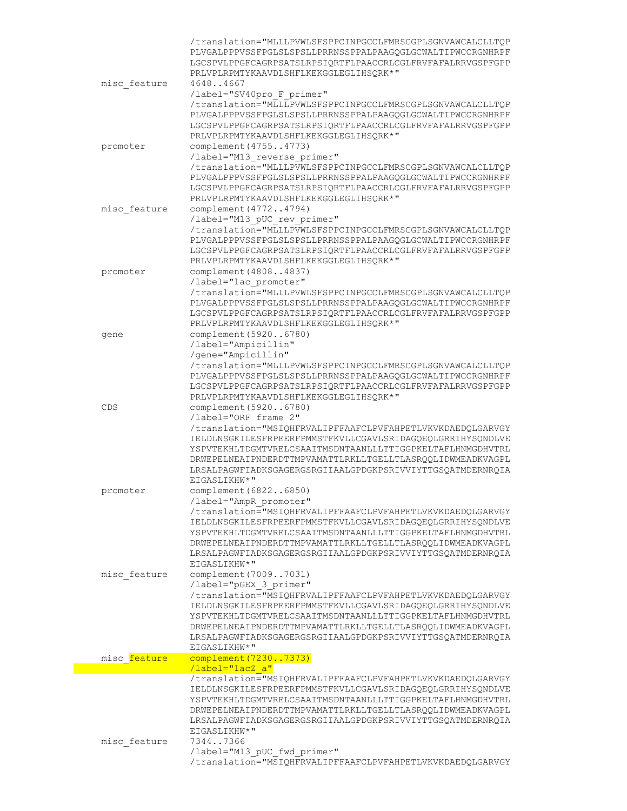|              | /translation="MLLLPVWLSFSPPCINPGCCLFMRSCGPLSGNVAWCALCLLTQP<br>PLVGALPPPVSSFPGLSLSPSLLPRRNSSPPALPAAGQGLGCWALTIPWCCRGNHRPF |
|--------------|--------------------------------------------------------------------------------------------------------------------------|
|              | LGCSPVLPPGFCAGRPSATSLRPSIQRTFLPAACCRLCGLFRVFAFALRRVGSPFGPP                                                               |
|              | PRLVPLRPMTYKAAVDLSHFLKEKGGLEGLIHSORK*"                                                                                   |
| misc feature | 46484667                                                                                                                 |
|              | /label="SV40pro F primer"<br>/translation="MLLLPVWLSFSPPCINPGCCLFMRSCGPLSGNVAWCALCLLTQP                                  |
|              | PLVGALPPPVSSFPGLSLSPSLLPRRNSSPPALPAAGOGLGCWALTIPWCCRGNHRPF                                                               |
|              | LGCSPVLPPGFCAGRPSATSLRPSIQRTFLPAACCRLCGLFRVFAFALRRVGSPFGPP                                                               |
| promoter     | PRLVPLRPMTYKAAVDLSHFLKEKGGLEGLIHSQRK*"<br>complement (47554773)                                                          |
|              | /label="M13 reverse primer"                                                                                              |
|              | /translation="MLLLPVWLSFSPPCINPGCCLFMRSCGPLSGNVAWCALCLLTQP                                                               |
|              | PLVGALPPPVSSFPGLSLSPSLLPRRNSSPPALPAAGOGLGCWALTIPWCCRGNHRPF<br>LGCSPVLPPGFCAGRPSATSLRPSIORTFLPAACCRLCGLFRVFAFALRRVGSPFGPP |
|              | PRLVPLRPMTYKAAVDLSHFLKEKGGLEGLIHSQRK*"                                                                                   |
| misc feature | complement (47724794)                                                                                                    |
|              | /label="M13 pUC rev primer"<br>/translation="MLLLPVWLSFSPPCINPGCCLFMRSCGPLSGNVAWCALCLLTQP                                |
|              | PLVGALPPPVSSFPGLSLSPSLLPRRNSSPPALPAAGQGLGCWALTIPWCCRGNHRPF                                                               |
|              | LGCSPVLPPGFCAGRPSATSLRPSIQRTFLPAACCRLCGLFRVFAFALRRVGSPFGPP                                                               |
| promoter     | PRLVPLRPMTYKAAVDLSHFLKEKGGLEGLIHSQRK*"<br>complement (48084837)                                                          |
|              | /label="lac promoter"                                                                                                    |
|              | /translation="MLLLPVWLSFSPPCINPGCCLFMRSCGPLSGNVAWCALCLLTQP                                                               |
|              | PLVGALPPPVSSFPGLSLSPSLLPRRNSSPPALPAAGQGLGCWALTIPWCCRGNHRPF                                                               |
|              | LGCSPVLPPGFCAGRPSATSLRPSIQRTFLPAACCRLCGLFRVFAFALRRVGSPFGPP<br>PRLVPLRPMTYKAAVDLSHFLKEKGGLEGLIHSORK*"                     |
| gene         | complement (59206780)                                                                                                    |
|              | /label="Ampicillin"                                                                                                      |
|              | /gene="Ampicillin"                                                                                                       |
|              | /translation="MLLLPVWLSFSPPCINPGCCLFMRSCGPLSGNVAWCALCLLTQP<br>PLVGALPPPVSSFPGLSLSPSLLPRRNSSPPALPAAGQGLGCWALTIPWCCRGNHRPF |
|              | LGCSPVLPPGFCAGRPSATSLRPSIQRTFLPAACCRLCGLFRVFAFALRRVGSPFGPP                                                               |
|              | PRLVPLRPMTYKAAVDLSHFLKEKGGLEGLIHSQRK*"                                                                                   |
| CDS          | complement (59206780)<br>/label="ORF frame 2"                                                                            |
|              | /translation="MSIQHFRVALIPFFAAFCLPVFAHPETLVKVKDAEDQLGARVGY                                                               |
|              | IELDLNSGKILESFRPEERFPMMSTFKVLLCGAVLSRIDAGQEQLGRRIHYSQNDLVE                                                               |
|              | YSPVTEKHLTDGMTVRELCSAAITMSDNTAANLLLTTIGGPKELTAFLHNMGDHVTRL                                                               |
|              | DRWEPELNEAIPNDERDTTMPVAMATTLRKLLTGELLTLASROOLIDWMEADKVAGPL<br>LRSALPAGWFIADKSGAGERGSRGIIAALGPDGKPSRIVVIYTTGSQATMDERNRQIA |
|              | EIGASLIKHW*"                                                                                                             |
| promoter     | complement (68226850)                                                                                                    |
|              | /label="AmpR promoter"                                                                                                   |
|              | /translation="MSIQHFRVALIPFFAAFCLPVFAHPETLVKVKDAEDQLGARVGY<br>IELDLNSGKILESFRPEERFPMMSTFKVLLCGAVLSRIDAGQEQLGRRIHYSQNDLVE |
|              | YSPVTEKHLTDGMTVRELCSAAITMSDNTAANLLLTTIGGPKELTAFLHNMGDHVTRL                                                               |
|              | DRWEPELNEAIPNDERDTTMPVAMATTLRKLLTGELLTLASRQQLIDWMEADKVAGPL                                                               |
|              | LRSALPAGWFIADKSGAGERGSRGIIAALGPDGKPSRIVVIYTTGSQATMDERNRQIA<br>EIGASLIKHW*"                                               |
| misc feature | complement (70097031)                                                                                                    |
|              | /label="pGEX 3 primer"                                                                                                   |
|              | /translation="MSIQHFRVALIPFFAAFCLPVFAHPETLVKVKDAEDQLGARVGY                                                               |
|              | IELDLNSGKILESFRPEERFPMMSTFKVLLCGAVLSRIDAGQEQLGRRIHYSQNDLVE<br>YSPVTEKHLTDGMTVRELCSAAITMSDNTAANLLLTTIGGPKELTAFLHNMGDHVTRL |
|              | DRWEPELNEAIPNDERDTTMPVAMATTLRKLLTGELLTLASRQQLIDWMEADKVAGPL                                                               |
|              | LRSALPAGWFIADKSGAGERGSRGIIAALGPDGKPSRIVVIYTTGSQATMDERNRQIA                                                               |
|              | EIGASLIKHW*"                                                                                                             |
| misc feature | complement (72307373)<br>/label="lacZ a"                                                                                 |
|              | /translation="MSIQHFRVALIPFFAAFCLPVFAHPETLVKVKDAEDQLGARVGY                                                               |
|              | IELDLNSGKILESFRPEERFPMMSTFKVLLCGAVLSRIDAGQEQLGRRIHYSQNDLVE                                                               |
|              | YSPVTEKHLTDGMTVRELCSAAITMSDNTAANLLLTTIGGPKELTAFLHNMGDHVTRL<br>DRWEPELNEAIPNDERDTTMPVAMATTLRKLLTGELLTLASROOLIDWMEADKVAGPL |
|              | LRSALPAGWFIADKSGAGERGSRGIIAALGPDGKPSRIVVIYTTGSQATMDERNRQIA                                                               |
|              | EIGASLIKHW*"                                                                                                             |
| misc feature | 73447366                                                                                                                 |
|              | /label="M13 pUC fwd primer"<br>/translation="MSIQHFRVALIPFFAAFCLPVFAHPETLVKVKDAEDQLGARVGY                                |
|              |                                                                                                                          |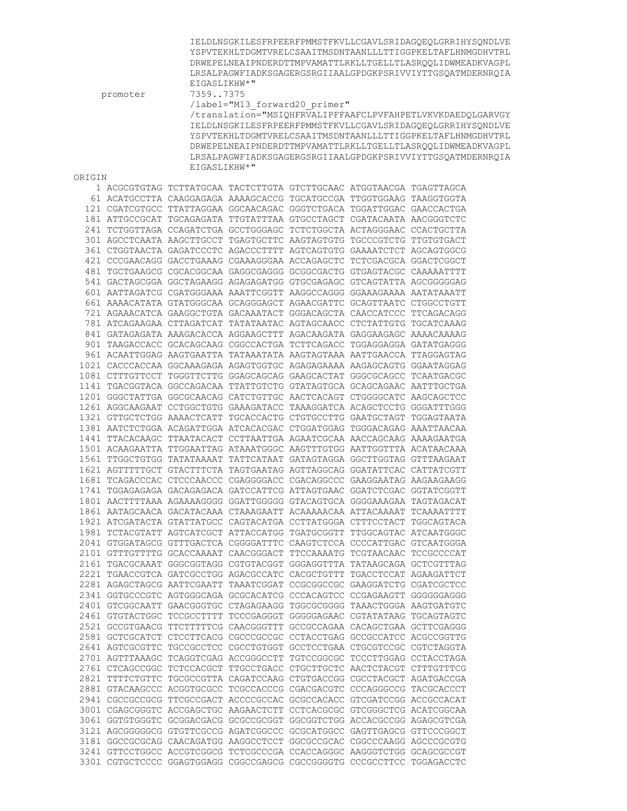|        | promoter | EIGASLIKHW*"<br>73597375                                                                                                                         | /label="M13 forward20 primer" | IELDLNSGKILESFRPEERFPMMSTFKVLLCGAVLSRIDAGOEOLGRRIHYSONDLVE<br>YSPVTEKHLTDGMTVRELCSAAITMSDNTAANLLLTTIGGPKELTAFLHNMGDHVTRL<br>DRWEPELNEAIPNDERDTTMPVAMATTLRKLLTGELLTLASROOLIDWMEADKVAGPL<br>LRSALPAGWFIADKSGAGERGSRGIIAALGPDGKPSRIVVIYTTGSQATMDERNRQIA<br>/translation="MSIQHFRVALIPFFAAFCLPVFAHPETLVKVKDAEDQLGARVGY<br>IELDLNSGKILESFRPEERFPMMSTFKVLLCGAVLSRIDAGQEQLGRRIHYSQNDLVE<br>YSPVTEKHLTDGMTVRELCSAAITMSDNTAANLLLTTIGGPKELTAFLHNMGDHVTRL<br>DRWEPELNEAIPNDERDTTMPVAMATTLRKLLTGELLTLASRQQLIDWMEADKVAGPL<br>LRSALPAGWFIADKSGAGERGSRGIIAALGPDGKPSRIVVIYTTGSQATMDERNRQIA |
|--------|----------|--------------------------------------------------------------------------------------------------------------------------------------------------|-------------------------------|----------------------------------------------------------------------------------------------------------------------------------------------------------------------------------------------------------------------------------------------------------------------------------------------------------------------------------------------------------------------------------------------------------------------------------------------------------------------------------------------------------------------------------------------------------------------------|
| ORIGIN |          | EIGASLIKHW*"                                                                                                                                     |                               |                                                                                                                                                                                                                                                                                                                                                                                                                                                                                                                                                                            |
|        |          | 1 ACGCGTGTAG TCTTATGCAA TACTCTTGTA GTCTTGCAAC ATGGTAACGA TGAGTTAGCA                                                                              |                               |                                                                                                                                                                                                                                                                                                                                                                                                                                                                                                                                                                            |
|        |          | 61 ACATGCCTTA CAAGGAGAGA AAAAGCACCG TGCATGCCGA TTGGTGGAAG TAAGGTGGTA                                                                             |                               |                                                                                                                                                                                                                                                                                                                                                                                                                                                                                                                                                                            |
|        |          | 121 CGATCGTGCC TTATTAGGAA GGCAACAGAC GGGTCTGACA TGGATTGGAC GAACCACTGA                                                                            |                               |                                                                                                                                                                                                                                                                                                                                                                                                                                                                                                                                                                            |
|        |          | 181 ATTGCCGCAT TGCAGAGATA TTGTATTTAA GTGCCTAGCT CGATACAATA AACGGGTCTC                                                                            |                               |                                                                                                                                                                                                                                                                                                                                                                                                                                                                                                                                                                            |
|        |          | 241 TCTGGTTAGA CCAGATCTGA GCCTGGGAGC TCTCTGGCTA ACTAGGGAAC CCACTGCTTA                                                                            |                               |                                                                                                                                                                                                                                                                                                                                                                                                                                                                                                                                                                            |
|        |          | 301 AGCCTCAATA AAGCTTGCCT TGAGTGCTTC AAGTAGTGTG TGCCCGTCTG TTGTGTGACT                                                                            |                               |                                                                                                                                                                                                                                                                                                                                                                                                                                                                                                                                                                            |
|        |          | 361 CTGGTAACTA GAGATCCCTC AGACCCTTTT AGTCAGTGTG GAAAATCTCT AGCAGTGGCG                                                                            |                               |                                                                                                                                                                                                                                                                                                                                                                                                                                                                                                                                                                            |
|        |          | 421 CCCGAACAGG GACCTGAAAG CGAAAGGGAA ACCAGAGCTC TCTCGACGCA GGACTCGGCT                                                                            |                               |                                                                                                                                                                                                                                                                                                                                                                                                                                                                                                                                                                            |
|        |          | 481 TGCTGAAGCG CGCACGGCAA GAGGCGAGGG GCGGCGACTG GTGAGTACGC CAAAAATTTT<br>541 GACTAGCGGA GGCTAGAAGG AGAGAGATGG GTGCGAGAGC GTCAGTATTA AGCGGGGGAG   |                               |                                                                                                                                                                                                                                                                                                                                                                                                                                                                                                                                                                            |
|        |          | 601 AATTAGATCG CGATGGGAAA AAATTCGGTT AAGGCCAGGG GGAAAGAAAA AATATAAATT                                                                            |                               |                                                                                                                                                                                                                                                                                                                                                                                                                                                                                                                                                                            |
|        |          | 661 AAAACATATA GTATGGGCAA GCAGGGAGCT AGAACGATTC GCAGTTAATC CTGGCCTGTT                                                                            |                               |                                                                                                                                                                                                                                                                                                                                                                                                                                                                                                                                                                            |
|        |          | 721 AGAAACATCA GAAGGCTGTA GACAAATACT GGGACAGCTA CAACCATCCC TTCAGACAGG                                                                            |                               |                                                                                                                                                                                                                                                                                                                                                                                                                                                                                                                                                                            |
|        |          | 781 ATCAGAAGAA CTTAGATCAT TATATAATAC AGTAGCAACC CTCTATTGTG TGCATCAAAG                                                                            |                               |                                                                                                                                                                                                                                                                                                                                                                                                                                                                                                                                                                            |
|        |          | 841 GATAGAGATA AAAGACACCA AGGAAGCTTT AGACAAGATA GAGGAAGAGC AAAACAAAAG                                                                            |                               |                                                                                                                                                                                                                                                                                                                                                                                                                                                                                                                                                                            |
|        |          | 901 TAAGACCACC GCACAGCAAG CGGCCACTGA TCTTCAGACC TGGAGGAGGA GATATGAGGG                                                                            |                               |                                                                                                                                                                                                                                                                                                                                                                                                                                                                                                                                                                            |
|        |          | 961 ACAATTGGAG AAGTGAATTA TATAAATATA AAGTAGTAAA AATTGAACCA TTAGGAGTAG                                                                            |                               |                                                                                                                                                                                                                                                                                                                                                                                                                                                                                                                                                                            |
|        |          | 1021 CACCCACCAA GGCAAAGAGA AGAGTGGTGC AGAGAGAAAA AAGAGCAGTG GGAATAGGAG                                                                           |                               |                                                                                                                                                                                                                                                                                                                                                                                                                                                                                                                                                                            |
|        |          | 1081 CTTTGTTCCT TGGGTTCTTG GGAGCAGCAG GAAGCACTAT GGGCGCAGCC TCAATGACGC                                                                           |                               |                                                                                                                                                                                                                                                                                                                                                                                                                                                                                                                                                                            |
|        |          | 1141 TGACGGTACA GGCCAGACAA TTATTGTCTG GTATAGTGCA GCAGCAGAAC AATTTGCTGA                                                                           |                               |                                                                                                                                                                                                                                                                                                                                                                                                                                                                                                                                                                            |
|        |          | 1201 GGGCTATTGA GGCGCAACAG CATCTGTTGC AACTCACAGT CTGGGGCATC AAGCAGCTCC<br>1261 AGGCAAGAAT CCTGGCTGTG GAAAGATACC TAAAGGATCA ACAGCTCCTG GGGATTTGGG |                               |                                                                                                                                                                                                                                                                                                                                                                                                                                                                                                                                                                            |
|        |          | 1321 GTTGCTCTGG AAAACTCATT TGCACCACTG CTGTGCCTTG GAATGCTAGT TGGAGTAATA                                                                           |                               |                                                                                                                                                                                                                                                                                                                                                                                                                                                                                                                                                                            |
|        |          | 1381 AATCTCTGGA ACAGATTGGA ATCACACGAC CTGGATGGAG TGGGACAGAG AAATTAACAA                                                                           |                               |                                                                                                                                                                                                                                                                                                                                                                                                                                                                                                                                                                            |
|        |          | 1441 TTACACAAGC TTAATACACT CCTTAATTGA AGAATCGCAA AACCAGCAAG AAAAGAATGA                                                                           |                               |                                                                                                                                                                                                                                                                                                                                                                                                                                                                                                                                                                            |
|        |          | 1501 ACAAGAATTA TTGGAATTAG ATAAATGGGC AAGTTTGTGG AATTGGTTTA ACATAACAAA                                                                           |                               |                                                                                                                                                                                                                                                                                                                                                                                                                                                                                                                                                                            |
|        |          | 1561 TTGGCTGTGG TATATAAAAT TATTCATAAT GATAGTAGGA GGCTTGGTAG GTTTAAGAAT                                                                           |                               |                                                                                                                                                                                                                                                                                                                                                                                                                                                                                                                                                                            |
|        |          | 1621 AGTTTTTGCT GTACTTTCTA TAGTGAATAG AGTTAGGCAG GGATATTCAC CATTATCGTT                                                                           |                               |                                                                                                                                                                                                                                                                                                                                                                                                                                                                                                                                                                            |
|        |          | 1681 TCAGACCCAC CTCCCAACCC CGAGGGGACC CGACAGGCCC GAAGGAATAG AAGAAGAAGG                                                                           |                               |                                                                                                                                                                                                                                                                                                                                                                                                                                                                                                                                                                            |
|        |          | 1741 TGGAGAGAGA GACAGAGACA GATCCATTCG ATTAGTGAAC GGATCTCGAC GGTATCGGTT                                                                           |                               |                                                                                                                                                                                                                                                                                                                                                                                                                                                                                                                                                                            |
|        |          | 1801 AACTTTTAAA AGAAAAGGGG GGATTGGGGG GTACAGTGCA GGGGAAAGAA TAGTAGACAT                                                                           |                               |                                                                                                                                                                                                                                                                                                                                                                                                                                                                                                                                                                            |
|        |          | 1861 AATAGCAACA GACATACAAA CTAAAGAATT ACAAAAACAA ATTACAAAAT TCAAAATTTT<br>1921 ATCGATACTA GTATTATGCC CAGTACATGA CCTTATGGGA CTTTCCTACT TGGCAGTACA |                               |                                                                                                                                                                                                                                                                                                                                                                                                                                                                                                                                                                            |
|        |          | 1981 TCTACGTATT AGTCATCGCT ATTACCATGG TGATGCGGTT TTGGCAGTAC ATCAATGGGC                                                                           |                               |                                                                                                                                                                                                                                                                                                                                                                                                                                                                                                                                                                            |
|        |          | 2041 GTGGATAGCG GTTTGACTCA CGGGGATTTC CAAGTCTCCA CCCCATTGAC GTCAATGGGA                                                                           |                               |                                                                                                                                                                                                                                                                                                                                                                                                                                                                                                                                                                            |
|        |          | 2101 GTTTGTTTTG GCACCAAAAT CAACGGGACT TTCCAAAATG TCGTAACAAC TCCGCCCCAT                                                                           |                               |                                                                                                                                                                                                                                                                                                                                                                                                                                                                                                                                                                            |
|        |          | 2161 TGACGCAAAT GGGCGGTAGG CGTGTACGGT GGGAGGTTTA TATAAGCAGA GCTCGTTTAG                                                                           |                               |                                                                                                                                                                                                                                                                                                                                                                                                                                                                                                                                                                            |
|        |          | 2221 TGAACCGTCA GATCGCCTGG AGACGCCATC CACGCTGTTT TGACCTCCAT AGAAGATTCT                                                                           |                               |                                                                                                                                                                                                                                                                                                                                                                                                                                                                                                                                                                            |
|        |          | 2281 AGAGCTAGCG AATTCGAATT TAAATCGGAT CCGCGGCCGC GAAGGATCTG CGATCGCTCC                                                                           |                               |                                                                                                                                                                                                                                                                                                                                                                                                                                                                                                                                                                            |
|        |          | 2341 GGTGCCCGTC AGTGGGCAGA GCGCACATCG CCCACAGTCC CCGAGAAGTT GGGGGGAGGG                                                                           |                               |                                                                                                                                                                                                                                                                                                                                                                                                                                                                                                                                                                            |
|        |          | 2401 GTCGGCAATT GAACGGGTGC CTAGAGAAGG TGGCGCGGGG TAAACTGGGA AAGTGATGTC                                                                           |                               |                                                                                                                                                                                                                                                                                                                                                                                                                                                                                                                                                                            |
|        |          | 2461 GTGTACTGGC TCCGCCTTTT TCCCGAGGGT GGGGGAGAAC CGTATATAAG TGCAGTAGTC<br>2521 GCCGTGAACG TTCTTTTTCG CAACGGGTTT GCCGCCAGAA CACAGCTGAA GCTTCGAGGG |                               |                                                                                                                                                                                                                                                                                                                                                                                                                                                                                                                                                                            |
|        |          | 2581 GCTCGCATCT CTCCTTCACG CGCCCGCCGC CCTACCTGAG GCCGCCATCC ACGCCGGTTG                                                                           |                               |                                                                                                                                                                                                                                                                                                                                                                                                                                                                                                                                                                            |
|        |          | 2641 AGTCGCGTTC TGCCGCCTCC CGCCTGTGGT GCCTCCTGAA CTGCGTCCGC CGTCTAGGTA                                                                           |                               |                                                                                                                                                                                                                                                                                                                                                                                                                                                                                                                                                                            |
|        |          | 2701 AGTTTAAAGC TCAGGTCGAG ACCGGGCCTT TGTCCGGCGC TCCCTTGGAG CCTACCTAGA                                                                           |                               |                                                                                                                                                                                                                                                                                                                                                                                                                                                                                                                                                                            |
|        |          | 2761 CTCAGCCGGC TCTCCACGCT TTGCCTGACC CTGCTTGCTC AACTCTACGT CTTTGTTTCG                                                                           |                               |                                                                                                                                                                                                                                                                                                                                                                                                                                                                                                                                                                            |
|        |          | 2821 TTTTCTGTTC TGCGCCGTTA CAGATCCAAG CTGTGACCGG CGCCTACGCT AGATGACCGA                                                                           |                               |                                                                                                                                                                                                                                                                                                                                                                                                                                                                                                                                                                            |
|        |          | 2881 GTACAAGCCC ACGGTGCGCC TCGCCACCCG CGACGACGTC CCCAGGGCCG TACGCACCCT                                                                           |                               |                                                                                                                                                                                                                                                                                                                                                                                                                                                                                                                                                                            |
|        |          | 2941 CGCCGCCGCG TTCGCCGACT ACCCCGCCAC GCGCCACACC GTCGATCCGG ACCGCCACAT                                                                           |                               |                                                                                                                                                                                                                                                                                                                                                                                                                                                                                                                                                                            |
|        |          | 3001 CGAGCGGGTC ACCGAGCTGC AAGAACTCTT CCTCACGCGC GTCGGGCTCG ACATCGGCAA                                                                           |                               |                                                                                                                                                                                                                                                                                                                                                                                                                                                                                                                                                                            |
|        |          | 3061 GGTGTGGGTC GCGGACGACG GCGCCGCGGT GGCGGTCTGG ACCACGCCGG AGAGCGTCGA                                                                           |                               |                                                                                                                                                                                                                                                                                                                                                                                                                                                                                                                                                                            |
|        |          | 3121 AGCGGGGGCG GTGTTCGCCG AGATCGGCCC GCGCATGGCC GAGTTGAGCG GTTCCCGGCT<br>3181 GGCCGCGCAG CAACAGATGG AAGGCCTCCT GGCGCCGCAC CGGCCCAAGG AGCCCGCGTG |                               |                                                                                                                                                                                                                                                                                                                                                                                                                                                                                                                                                                            |
|        |          | 3241 GTTCCTGGCC ACCGTCGGCG TCTCGCCCGA CCACCAGGGC AAGGGTCTGG GCAGCGCCGT                                                                           |                               |                                                                                                                                                                                                                                                                                                                                                                                                                                                                                                                                                                            |
|        |          | 3301 CGTGCTCCCC GGAGTGGAGG CGGCCGAGCG CGCCGGGGTG CCCGCCTTCC TGGAGACCTC                                                                           |                               |                                                                                                                                                                                                                                                                                                                                                                                                                                                                                                                                                                            |